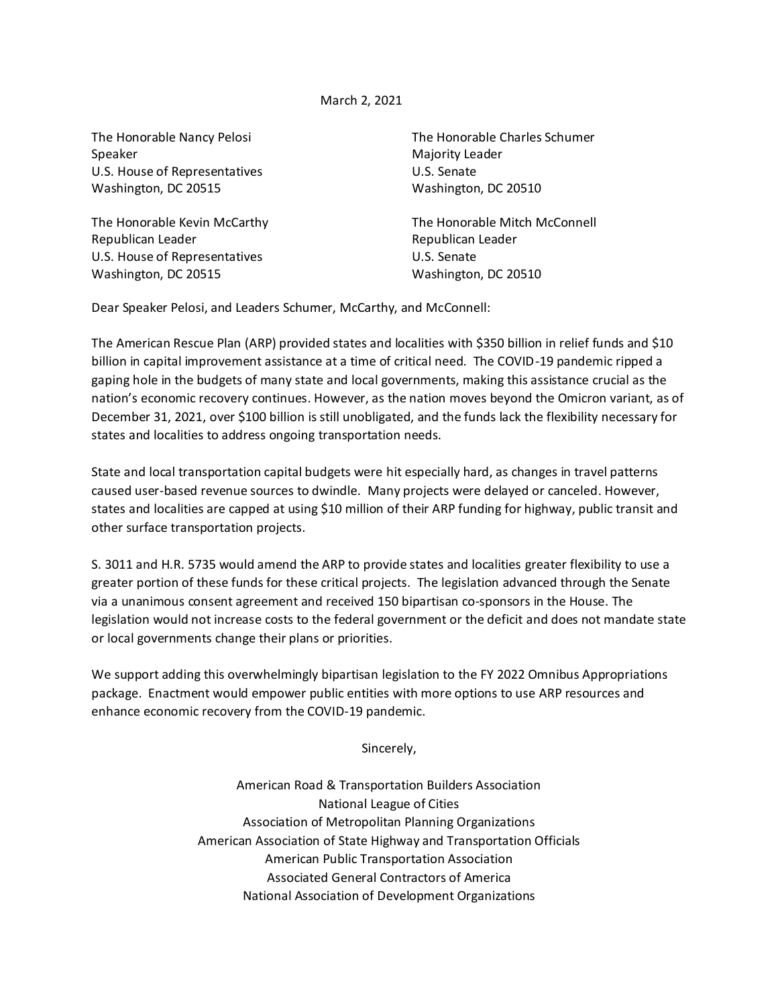## March 2, 2021

Speaker Majority Leader U.S. House of Representatives U.S. Senate Washington, DC 20515 Washington, DC 20510

Republican Leader **Republican Leader** Republican Leader U.S. House of Representatives U.S. Senate Washington, DC 20515 Washington, DC 20510

The Honorable Nancy Pelosi The Honorable Charles Schumer

The Honorable Kevin McCarthy The Honorable Mitch McConnell

Dear Speaker Pelosi, and Leaders Schumer, McCarthy, and McConnell:

The American Rescue Plan (ARP) provided states and localities with \$350 billion in relief funds and \$10 billion in capital improvement assistance at a time of critical need. The COVID-19 pandemic ripped a gaping hole in the budgets of many state and local governments, making this assistance crucial as the nation's economic recovery continues. However, as the nation moves beyond the Omicron variant, as of December 31, 2021, over \$100 billion is still unobligated, and the funds lack the flexibility necessary for states and localities to address ongoing transportation needs.

State and local transportation capital budgets were hit especially hard, as changes in travel patterns caused user-based revenue sources to dwindle. Many projects were delayed or canceled. However, states and localities are capped at using \$10 million of their ARP funding for highway, public transit and other surface transportation projects.

S. 3011 and H.R. 5735 would amend the ARP to provide states and localities greater flexibility to use a greater portion of these funds for these critical projects. The legislation advanced through the Senate via a unanimous consent agreement and received 150 bipartisan co-sponsors in the House. The legislation would not increase costs to the federal government or the deficit and does not mandate state or local governments change their plans or priorities.

We support adding this overwhelmingly bipartisan legislation to the FY 2022 Omnibus Appropriations package. Enactment would empower public entities with more options to use ARP resources and enhance economic recovery from the COVID-19 pandemic.

Sincerely,

American Road & Transportation Builders Association National League of Cities Association of Metropolitan Planning Organizations American Association of State Highway and Transportation Officials American Public Transportation Association Associated General Contractors of America National Association of Development Organizations